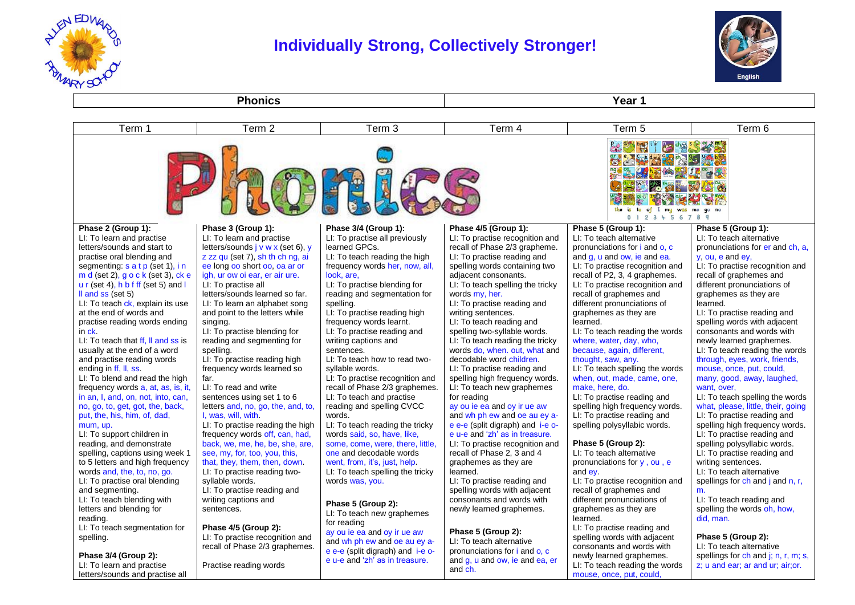

LI: To learn and practise letters/sounds and practise all Practise reading words

# **Individually Strong, Collectively Stronger!**



z; u and ear; ar and ur; air;or.

**Phonics Year 1** Term 1 Term 2 Term 3 Term 4 Term 5 Term 6  $\frac{1}{2}$  is  $\frac{1}{2}$ As the search **ZEAMS OF YOU** the is to of I my was me go no 0 1 2 3 4 5 6 7 8 9 **Phase 2 (Group 1): Phase 3 (Group 1): Phase 3/4 (Group 1): Phase 4/5 (Group 1): Phase 5 (Group 1): Phase 5 (Group 1):**  LI: To learn and practise LI: To learn and practise LI: To practise all previously LI: To practise recognition and LI: To teach alternative LI: To teach alternative learned GPCs. recall of Phase 2/3 grapheme. letters/sounds and start to letters/sounds j v w x (set 6), y pronunciations for i and o, c pronunciations for er and ch, a, practise oral blending and z zz qu (set 7), sh th ch ng, ai LI: To teach reading the high LI: To practise reading and and g, u and ow, ie and ea. y, ou, e and ey, LI: To practise recognition and segmenting: s a t p (set 1), i n ee long oo short oo, oa ar or frequency words her, now, all, spelling words containing two LI: To practise recognition and m d (set 2), g o c k (set 3), ck e igh, ur ow oi ear, er air ure. look, are, adjacent consonants. recall of P2, 3, 4 graphemes. recall of graphemes and u r (set 4), h b f ff (set 5) and l LI: To practise all LI: To practise blending for LI: To teach spelling the tricky LI: To practise recognition and different pronunciations of ll and ss (set 5) letters/sounds learned so far. reading and segmentation for words my, her. recall of graphemes and graphemes as they are LI: To teach ck, explain its use LI: To learn an alphabet song spelling. LI: To practise reading and different pronunciations of learned. at the end of words and and point to the letters while LI: To practise reading high writing sentences. graphemes as they are LI: To practise reading and practise reading words ending singing. frequency words learnt. LI: To teach reading and learned. spelling words with adjacent in ck. LI: To practise blending for LI: To practise reading and spelling two-syllable words. LI: To teach reading the words consonants and words with LI: To teach that ff, ll and ss is reading and segmenting for writing captions and LI: To teach reading the tricky where, water, day, who, newly learned graphemes. usually at the end of a word spelling. sentences. words do, when. out, what and because, again, different, LI: To teach reading the words and practise reading words LI: To practise reading high LI: To teach how to read twodecodable word children. thought, saw, any. through, eyes, work, friends, ending in ff, ll, ss. frequency words learned so syllable words. LI: To practise reading and LI: To teach spelling the words mouse, once, put, could, LI: To blend and read the high far. LI: To practise recognition and spelling high frequency words. when, out, made, came, one, many, good, away, laughed, frequency words a, at, as, is, it, LI: To read and write recall of Phase 2/3 graphemes. LI: To teach new graphemes make, here, do. want, over, in an, I, and, on, not, into, can, sentences using set 1 to 6 LI: To teach and practise for reading LI: To practise reading and LI: To teach spelling the words no, go, to, get, got, the, back, letters and, no, go, the, and, to, reading and spelling CVCC ay ou ie ea and oy ir ue aw spelling high frequency words. what, please, little, their, going put, the, his, him, of, dad, I, was, will, with. words. and wh ph ew and oe au ey a-LI: To practise reading and LI: To practise reading and LI: To practise reading the high LI: To teach reading the tricky e e-e (split digraph) and i-e ospelling polysyllabic words. spelling high frequency words. mum, up. LI: To support children in frequency words off, can, had, words said, so, have, like, e u-e and 'zh' as in treasure. LI: To practise reading and reading, and demonstrate back, we, me, he, be, she, are, some, come, were, there, little, LI: To practise recognition and **Phase 5 (Group 2):**  spelling polysyllabic words. spelling, captions using week 1 see, my, for, too, you, this, one and decodable words recall of Phase 2, 3 and 4 LI: To teach alternative LI: To practise reading and to 5 letters and high frequency that, they, them, then, down. went, from, it's, just, help. graphemes as they are pronunciations for y , ou , e writing sentences. words and, the, to, no, go. LI: To practise reading two-LI: To teach spelling the tricky learned. and ey. LI: To teach alternative LI: To practise oral blending syllable words. words was, you. LI: To practise reading and LI: To practise recognition and spellings for ch and j and n, r, and segmenting. LI: To practise reading and spelling words with adjacent recall of graphemes and m. LI: To teach blending with writing captions and consonants and words with different pronunciations of LI: To teach reading and **Phase 5 (Group 2):** letters and blending for sentences. newly learned graphemes. graphemes as they are spelling the words oh, how, LI: To teach new graphemes reading. learned. did, man. for reading **Phase 4/5 (Group 2):**  LI: To teach segmentation for LI: To practise reading and ay ou ie ea and oy ir ue aw **Phase 5 (Group 2):** spelling. LI: To practise recognition and spelling words with adjacent **Phase 5 (Group 2):**  and wh ph ew and oe au ey a-LI: To teach alternative recall of Phase 2/3 graphemes. consonants and words with LI: To teach alternative e e-e (split digraph) and i-e opronunciations for *i* and **o**. c **Phase 3/4 (Group 2):**  newly learned graphemes. spellings for ch and i; n, r, m; s, e u-e and 'zh' as in treasure. and g, u and ow, ie and ea, er

and ch.

LI: To teach reading the words mouse, once, put, could,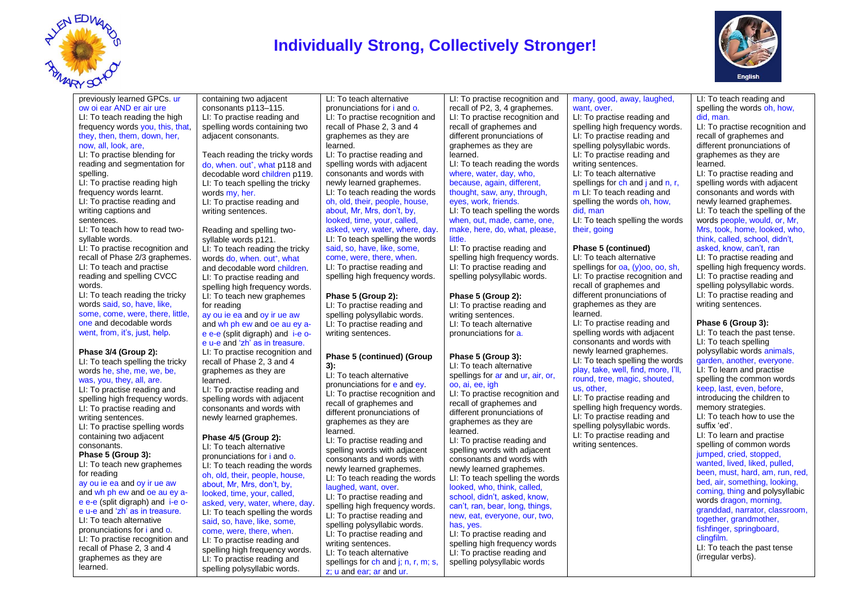

# **Individually Strong, Collectively Stronger!**



LI: To teach reading and spelling the words oh, how,

#### previously learned GPCs. ur ow oi ear AND er air ure LI: To teach reading the high frequency words you, this, that, they, then, them, down, her, now, all, look, are,

LI: To practise blending for reading and segmentation for spelling.

LI: To practise reading high frequency words learnt. LI: To practise reading and writing captions and sentences.

LI: To teach how to read twosyllable words.

LI: To practise recognition and recall of Phase 2/3 graphemes. LI: To teach and practise reading and spelling CVCC words.

LI: To teach reading the tricky words said, so, have, like, some, come, were, there, little, one and decodable words went, from, it's, just, help.

#### **Phase 3/4 (Group 2):**

LI: To teach spelling the tricky words he, she, me, we, be, was, you, they, all, are.

LI: To practise reading and spelling high frequency words. LI: To practise reading and writing sentences. LI: To practise spelling words containing two adjacent consonants.

# **Phase 5 (Group 3):**

LI: To teach new graphemes for reading ay ou ie ea and oy ir ue aw and wh ph ew and oe au ey ae e-e (split digraph) and i-e oe u-e and 'zh' as in treasure. LI: To teach alternative pronunciations for i and o. LI: To practise recognition and recall of Phase 2, 3 and 4 graphemes as they are learned.

containing two adjacent consonants p113–115. LI: To practise reading and spelling words containing two adjacent consonants.

Teach reading the tricky words do, when. out\*, what p118 and decodable word children p119. LI: To teach spelling the tricky words my, her. LI: To practise reading and writing sentences.

Reading and spelling twosyllable words p121. LI: To teach reading the tricky words do, when. out<sup>\*</sup>, what and decodable word children. LI: To practise reading and spelling high frequency words. LI: To teach new graphemes for reading ay ou ie ea and oy ir ue aw and wh ph ew and oe au ey ae e-e (split digraph) and i-e o-

e u-e and 'zh' as in treasure. LI: To practise recognition and recall of Phase 2, 3 and 4 graphemes as they are learned. LI: To practise reading and spelling words with adjacent consonants and words with newly learned graphemes.

#### **Phase 4/5 (Group 2):**

LI: To teach alternative pronunciations for i and o. LI: To teach reading the words oh, old, their, people, house, about, Mr, Mrs, don't, by, looked, time, your, called, asked, very, water, where, day. LI: To teach spelling the words said, so, have, like, some, come, were, there, when. LI: To practise reading and spelling high frequency words. LI: To practise reading and

spelling polysyllabic words.

LI: To teach alternative pronunciations for i and o. LI: To practise recognition and recall of Phase 2, 3 and 4 graphemes as they are learned. LI: To practise reading and spelling words with adjacent consonants and words with newly learned graphemes. LI: To teach reading the words oh, old, their, people, house, about, Mr, Mrs, don't, by, looked, time, your, called, asked, very, water, where, day. LI: To teach spelling the words said, so, have, like, some, come, were, there, when. LI: To practise reading and spelling high frequency words.

# **Phase 5 (Group 2):**

LI: To practise reading and spelling polysyllabic words. LI: To practise reading and writing sentences.

#### **Phase 5 (continued) (Group 3):**

LI: To teach alternative pronunciations for e and ey. LI: To practise recognition and recall of graphemes and different pronunciations of graphemes as they are learned. LI: To practise reading and spelling words with adjacent consonants and words with newly learned graphemes. LI: To teach reading the words laughed, want, over. LI: To practise reading and

spelling high frequency words. LI: To practise reading and spelling polysyllabic words. LI: To practise reading and writing sentences. LI: To teach alternative

spellings for ch and j; n, r, m; s, z; u and ear; ar and ur.

LI: To practise recognition and recall of P2, 3, 4 graphemes. LI: To practise recognition and recall of graphemes and different pronunciations of graphemes as they are learned. LI: To teach reading the words where, water, day, who, because, again, different, thought, saw, any, through, eyes, work, friends. LI: To teach spelling the words when, out, made, came, one, make, here, do, what, please, little.

LI: To practise reading and spelling high frequency words. LI: To practise reading and spelling polysyllabic words.

# **Phase 5 (Group 2):**

LI: To practise reading and writing sentences. LI: To teach alternative pronunciations for a.

# **Phase 5 (Group 3):**

LI: To teach alternative spellings for ar and ur, air, or, oo, ai, ee, igh LI: To practise recognition and recall of graphemes and different pronunciations of graphemes as they are learned. LI: To practise reading and spelling words with adjacent consonants and words with newly learned graphemes. LI: To teach spelling the words looked, who, think, called, school, didn't, asked, know, can't, ran, bear, long, things, new, eat, everyone, our, two, has, yes.

LI: To practise reading and spelling high frequency words LI: To practise reading and spelling polysyllabic words

# many, good, away, laughed, want, over.

LI: To practise reading and spelling high frequency words. LI: To practise reading and spelling polysyllabic words. LI: To practise reading and writing sentences. LI: To teach alternative spellings for ch and i and n, r. m LI: To teach reading and spelling the words oh, how, did, man

LI: To teach spelling the words their, going

# **Phase 5 (continued)**

LI: To teach alternative spellings for oa, (y)oo, oo, sh, LI: To practise recognition and recall of graphemes and different pronunciations of graphemes as they are learned.

LI: To practise reading and spelling words with adjacent consonants and words with newly learned graphemes. LI: To teach spelling the words play, take, well, find, more, I'll, round, tree, magic, shouted, us, other,

LI: To practise reading and spelling high frequency words. LI: To practise reading and spelling polysyllabic words. LI: To practise reading and writing sentences.

did, man. LI: To practise recognition and recall of graphemes and different pronunciations of graphemes as they are learned. LI: To practise reading and

spelling words with adjacent consonants and words with newly learned graphemes. LI: To teach the spelling of the words people, would, or, Mr, Mrs, took, home, looked, who, think, called, school, didn't,

asked, know, can't, ran LI: To practise reading and

spelling high frequency words. LI: To practise reading and spelling polysyllabic words. LI: To practise reading and writing sentences.

# **Phase 6 (Group 3):**

LI: To teach the past tense. LI: To teach spelling polysyllabic words animals, garden, another, everyone. LI: To learn and practise spelling the common words keep, last, even, before, introducing the children to memory strategies. LI: To teach how to use the suffix 'ed'. LI: To learn and practise spelling of common words jumped, cried, stopped, wanted, lived, liked, pulled, been, must, hard, am, run, red, bed, air, something, looking, coming, thing and polysyllabic words dragon, morning. granddad, narrator, classroom, together, grandmother, fishfinger, springboard, clingfilm. LI: To teach the past tense (irregular verbs).